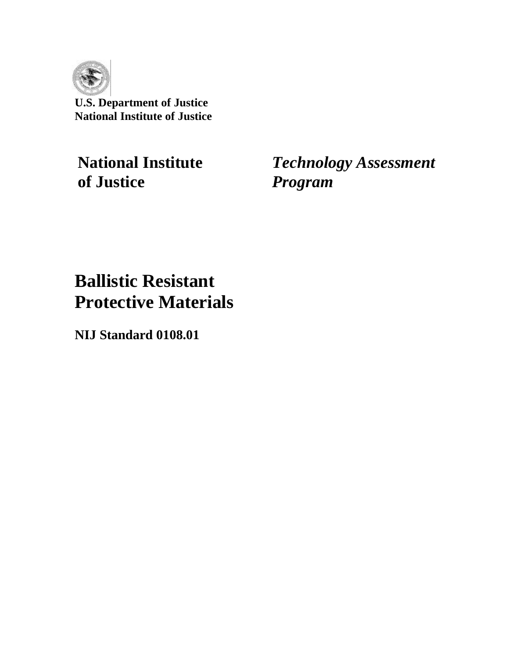

**U.S. Department of Justice National Institute of Justice** 

**of Justice** *Program* 

**National Institute** *Technology Assessment* 

# **Ballistic Resistant Protective Materials**

**NIJ Standard 0108.01**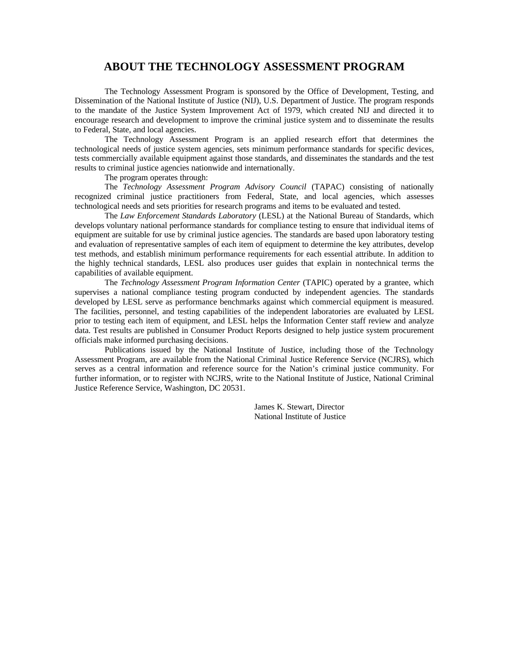## **ABOUT THE TECHNOLOGY ASSESSMENT PROGRAM**

The Technology Assessment Program is sponsored by the Office of Development, Testing, and Dissemination of the National Institute of Justice (NIJ), U.S. Department of Justice. The program responds to the mandate of the Justice System Improvement Act of 1979, which created NIJ and directed it to encourage research and development to improve the criminal justice system and to disseminate the results to Federal, State, and local agencies.

The Technology Assessment Program is an applied research effort that determines the technological needs of justice system agencies, sets minimum performance standards for specific devices, tests commercially available equipment against those standards, and disseminates the standards and the test results to criminal justice agencies nationwide and internationally.

#### The program operates through:

The *Technology Assessment Program Advisory Council* (TAPAC) consisting of nationally recognized criminal justice practitioners from Federal, State, and local agencies, which assesses technological needs and sets priorities for research programs and items to be evaluated and tested.

The *Law Enforcement Standards Laboratory* (LESL) at the National Bureau of Standards, which develops voluntary national performance standards for compliance testing to ensure that individual items of equipment are suitable for use by criminal justice agencies. The standards are based upon laboratory testing and evaluation of representative samples of each item of equipment to determine the key attributes, develop test methods, and establish minimum performance requirements for each essential attribute. In addition to the highly technical standards, LESL also produces user guides that explain in nontechnical terms the capabilities of available equipment.

The *Technology Assessment Program Information Center* (TAPIC) operated by a grantee, which supervises a national compliance testing program conducted by independent agencies. The standards developed by LESL serve as performance benchmarks against which commercial equipment is measured. The facilities, personnel, and testing capabilities of the independent laboratories are evaluated by LESL prior to testing each item of equipment, and LESL helps the Information Center staff review and analyze data. Test results are published in Consumer Product Reports designed to help justice system procurement officials make informed purchasing decisions.

Publications issued by the National Institute of Justice, including those of the Technology Assessment Program, are available from the National Criminal Justice Reference Service (NCJRS), which serves as a central information and reference source for the Nation's criminal justice community. For further information, or to register with NCJRS, write to the National Institute of Justice, National Criminal Justice Reference Service, Washington, DC 20531.

> James K. Stewart, Director National Institute of Justice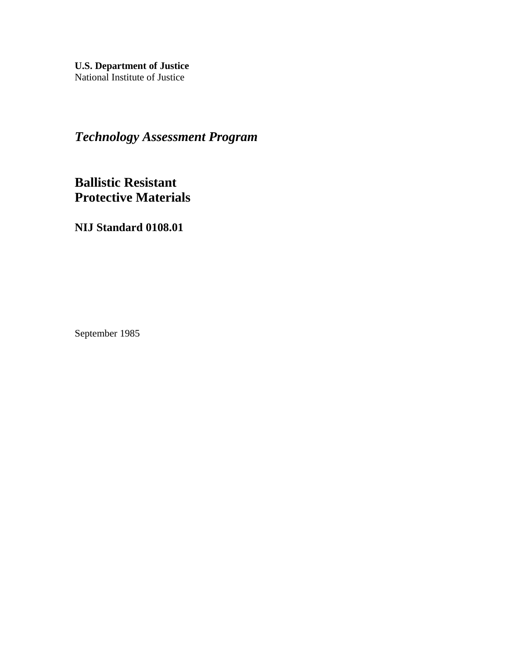**U.S. Department of Justice**  National Institute of Justice

*Technology Assessment Program* 

**Ballistic Resistant Protective Materials** 

**NIJ Standard 0108.01** 

September 1985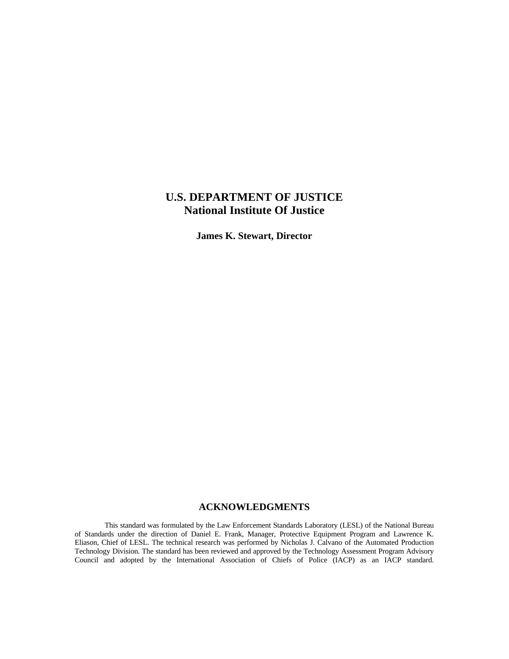## **U.S. DEPARTMENT OF JUSTICE National Institute Of Justice**

**James K. Stewart, Director** 

## **ACKNOWLEDGMENTS**

This standard was formulated by the Law Enforcement Standards Laboratory (LESL) of the National Bureau of Standards under the direction of Daniel E. Frank, Manager, Protective Equipment Program and Lawrence K. Eliason, Chief of LESL. The technical research was performed by Nicholas J. Calvano of the Automated Production Technology Division. The standard has been reviewed and approved by the Technology Assessment Program Advisory Council and adopted by the International Association of Chiefs of Police (IACP) as an IACP standard.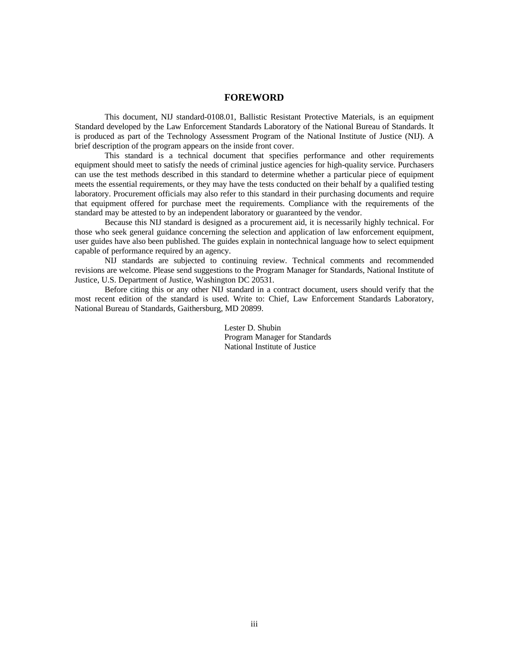#### **FOREWORD**

This document, NIJ standard-0108.01, Ballistic Resistant Protective Materials, is an equipment Standard developed by the Law Enforcement Standards Laboratory of the National Bureau of Standards. It is produced as part of the Technology Assessment Program of the National Institute of Justice (NIJ). A brief description of the program appears on the inside front cover.

This standard is a technical document that specifies performance and other requirements equipment should meet to satisfy the needs of criminal justice agencies for high-quality service. Purchasers can use the test methods described in this standard to determine whether a particular piece of equipment meets the essential requirements, or they may have the tests conducted on their behalf by a qualified testing laboratory. Procurement officials may also refer to this standard in their purchasing documents and require that equipment offered for purchase meet the requirements. Compliance with the requirements of the standard may be attested to by an independent laboratory or guaranteed by the vendor.

Because this NIJ standard is designed as a procurement aid, it is necessarily highly technical. For those who seek general guidance concerning the selection and application of law enforcement equipment, user guides have also been published. The guides explain in nontechnical language how to select equipment capable of performance required by an agency.

NIJ standards are subjected to continuing review. Technical comments and recommended revisions are welcome. Please send suggestions to the Program Manager for Standards, National Institute of Justice, U.S. Department of Justice, Washington DC 20531.

Before citing this or any other NIJ standard in a contract document, users should verify that the most recent edition of the standard is used. Write to: Chief, Law Enforcement Standards Laboratory, National Bureau of Standards, Gaithersburg, MD 20899.

> Lester D. Shubin Program Manager for Standards National Institute of Justice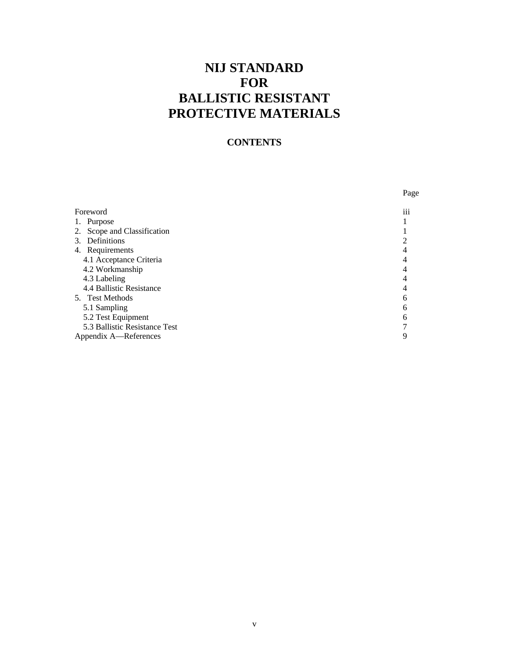## **NIJ STANDARD FOR BALLISTIC RESISTANT PROTECTIVE MATERIALS**

## **CONTENTS**

|                               | Page            |
|-------------------------------|-----------------|
| Foreword                      | $\cdots$<br>111 |
| 1. Purpose                    |                 |
| 2. Scope and Classification   |                 |
| 3. Definitions                |                 |
| 4. Requirements               |                 |
| 4.1 Acceptance Criteria       |                 |
| 4.2 Workmanship               |                 |
| 4.3 Labeling                  |                 |
| 4.4 Ballistic Resistance      |                 |
| 5. Test Methods               | 6               |
| 5.1 Sampling                  |                 |
| 5.2 Test Equipment            |                 |
| 5.3 Ballistic Resistance Test |                 |
| Appendix A-References         |                 |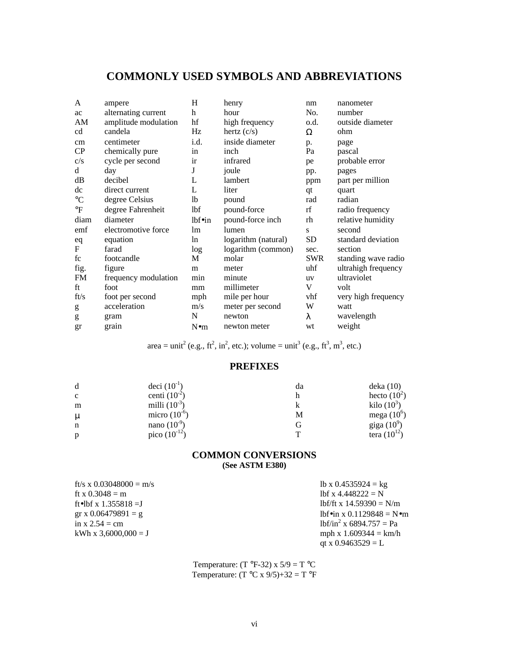## **COMMONLY USED SYMBOLS AND ABBREVIATIONS**

| A               | ampere               | H              | henry               | nm         | nanometer           |
|-----------------|----------------------|----------------|---------------------|------------|---------------------|
| ac              | alternating current  | h              | hour                | No.        | number              |
| AM              | amplitude modulation | hf             | high frequency      | o.d.       | outside diameter    |
| cd              | candela              | Hz             | hertz $(c/s)$       | Ω          | ohm                 |
| cm              | centimeter           | i.d.           | inside diameter     | p.         | page                |
| CP              | chemically pure      | in             | inch                | Pa         | pascal              |
| c/s             | cycle per second     | ir             | infrared            | pe         | probable error      |
| d               | day                  | J              | joule               | pp.        | pages               |
| dB              | decibel              | L              | lambert             | ppm        | part per million    |
| dc              | direct current       | L              | liter               | qt         | quart               |
| $\rm ^{\circ}C$ | degree Celsius       | 1 <sub>b</sub> | pound               | rad        | radian              |
| $\mathrm{P}$    | degree Fahrenheit    | lbf            | pound-force         | rf         | radio frequency     |
| diam            | diameter             | lbf            | pound-force inch    | rh         | relative humidity   |
| emf             | electromotive force  | 1 <sub>m</sub> | lumen               | S          | second              |
| eq              | equation             | ln.            | logarithm (natural) | SD         | standard deviation  |
| F               | farad                | log            | logarithm (common)  | sec.       | section             |
| fc              | footcandle           | М              | molar               | <b>SWR</b> | standing wave radio |
| fig.            | figure               | m              | meter               | uhf        | ultrahigh frequency |
| <b>FM</b>       | frequency modulation | min            | minute              | <b>u</b> V | ultraviolet         |
| ft              | foot                 | mm             | millimeter          | V          | volt                |
| ft/s            | foot per second      | mph            | mile per hour       | vhf        | very high frequency |
| g               | acceleration         | m/s            | meter per second    | W          | watt                |
| g               | gram                 | N              | newton              | λ          | wavelength          |
| gr              | grain                | $N \bullet m$  | newton meter        | wt         | weight              |

area = unit<sup>2</sup> (e.g., ft<sup>2</sup>, in<sup>2</sup>, etc.); volume = unit<sup>3</sup> (e.g., ft<sup>3</sup>, m<sup>3</sup>, etc.)

## **PREFIXES**

| d            | deci $(10^{-1})$  | da | deka(10)         |
|--------------|-------------------|----|------------------|
| $\mathbf{c}$ | centi $(10^{-2})$ |    | hecto $(10^2)$   |
| m            | milli $(10^{-3})$ |    | kilo $(10^3)$    |
| μ            | micro $(10^{-6})$ | М  | mega $(10^6)$    |
| n            | nano $(10^{-9})$  |    | giga $(10^9)$    |
| p            | pico $(10^{-12})$ | T  | tera $(10^{12})$ |

## **COMMON CONVERSIONS (See ASTM E380)**

| ft/s x 0.03048000 = m/s | lb x $0.4535924 =$ kg                |
|-------------------------|--------------------------------------|
| ft x $0.3048 = m$       | lbf x $4.448222 = N$                 |
| ft•lbf x 1.355818 = J   | $1bf/ft x 14.59390 = N/m$            |
| gr x $0.06479891 = g$   | lbfoin x $0.1129848 = N$ om          |
| in x $2.54 = cm$        | $1bf/in^2$ x 6894.757 = Pa           |
| kWh x $3.6000.000 = J$  | mph x $1.609344 = km/h$              |
|                         | $_{\alpha t}$ v $\Omega$ 0463520 – L |

lbf x 4.448222 =  $N$  $1bf/in^2$  x 6894.757 = Pa qt x  $0.9463529 = L$ 

Temperature:  $(T \text{ }^{\circ}F-32) \times 5/9 = T \text{ }^{\circ}C$ Temperature:  $(T^{\circ}C \times 9/5) + 32 = T^{\circ}F$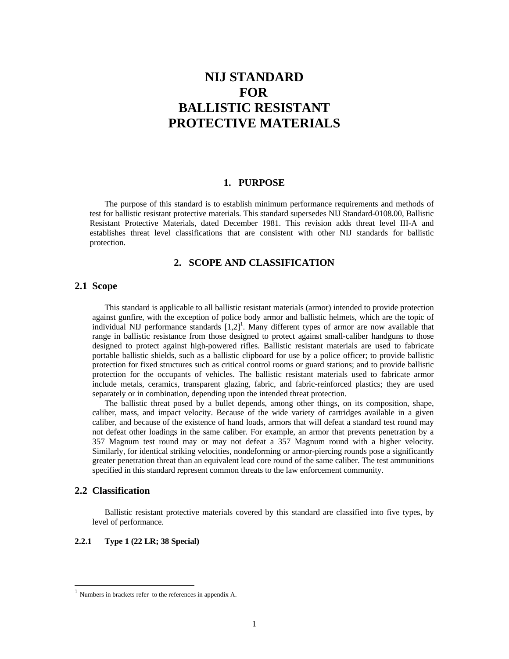## **NIJ STANDARD FOR BALLISTIC RESISTANT PROTECTIVE MATERIALS**

#### **1. PURPOSE**

The purpose of this standard is to establish minimum performance requirements and methods of test for ballistic resistant protective materials. This standard supersedes NIJ Standard-0108.00, Ballistic Resistant Protective Materials, dated December 1981. This revision adds threat level III-A and establishes threat level classifications that are consistent with other NIJ standards for ballistic protection.

## **2. SCOPE AND CLASSIFICATION**

## **2.1 Scope**

This standard is applicable to all ballistic resistant materials (armor) intended to provide protection against gunfire, with the exception of police body armor and ballistic helmets, which are the topic of individual NIJ performance standards  $[1,2]$ <sup>1</sup>. Many different types of armor are now available that range in ballistic resistance from those designed to protect against small-caliber handguns to those designed to protect against high-powered rifles. Ballistic resistant materials are used to fabricate portable ballistic shields, such as a ballistic clipboard for use by a police officer; to provide ballistic protection for fixed structures such as critical control rooms or guard stations; and to provide ballistic protection for the occupants of vehicles. The ballistic resistant materials used to fabricate armor include metals, ceramics, transparent glazing, fabric, and fabric-reinforced plastics; they are used separately or in combination, depending upon the intended threat protection.

The ballistic threat posed by a bullet depends, among other things, on its composition, shape, caliber, mass, and impact velocity. Because of the wide variety of cartridges available in a given caliber, and because of the existence of hand loads, armors that will defeat a standard test round may not defeat other loadings in the same caliber. For example, an armor that prevents penetration by a 357 Magnum test round may or may not defeat a 357 Magnum round with a higher velocity. Similarly, for identical striking velocities, nondeforming or armor-piercing rounds pose a significantly greater penetration threat than an equivalent lead core round of the same caliber. The test ammunitions specified in this standard represent common threats to the law enforcement community.

### **2.2 Classification**

Ballistic resistant protective materials covered by this standard are classified into five types, by level of performance.

#### **2.2.1 Type 1 (22 LR; 38 Special)**

 $<sup>1</sup>$  Numbers in brackets refer to the references in appendix A.</sup>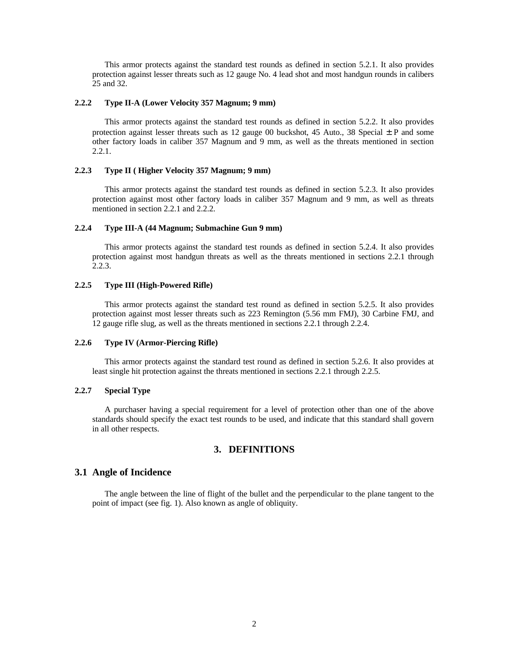This armor protects against the standard test rounds as defined in section 5.2.1. It also provides protection against lesser threats such as 12 gauge No. 4 lead shot and most handgun rounds in calibers 25 and 32.

#### **2.2.2 Type II-A (Lower Velocity 357 Magnum; 9 mm)**

This armor protects against the standard test rounds as defined in section 5.2.2. It also provides protection against lesser threats such as 12 gauge 00 buckshot, 45 Auto., 38 Special  $\pm$  P and some other factory loads in caliber 357 Magnum and 9 mm, as well as the threats mentioned in section 2.2.1.

#### **2.2.3 Type II ( Higher Velocity 357 Magnum; 9 mm)**

This armor protects against the standard test rounds as defined in section 5.2.3. It also provides protection against most other factory loads in caliber 357 Magnum and 9 mm, as well as threats mentioned in section 2.2.1 and 2.2.2.

#### **2.2.4 Type III-A (44 Magnum; Submachine Gun 9 mm)**

This armor protects against the standard test rounds as defined in section 5.2.4. It also provides protection against most handgun threats as well as the threats mentioned in sections 2.2.1 through 2.2.3.

#### **2.2.5 Type III (High-Powered Rifle)**

This armor protects against the standard test round as defined in section 5.2.5. It also provides protection against most lesser threats such as 223 Remington (5.56 mm FMJ), 30 Carbine FMJ, and 12 gauge rifle slug, as well as the threats mentioned in sections 2.2.1 through 2.2.4.

#### **2.2.6 Type IV (Armor-Piercing Rifle)**

This armor protects against the standard test round as defined in section 5.2.6. It also provides at least single hit protection against the threats mentioned in sections 2.2.1 through 2.2.5.

#### **2.2.7 Special Type**

A purchaser having a special requirement for a level of protection other than one of the above standards should specify the exact test rounds to be used, and indicate that this standard shall govern in all other respects.

## **3. DEFINITIONS**

#### **3.1 Angle of Incidence**

The angle between the line of flight of the bullet and the perpendicular to the plane tangent to the point of impact (see fig. 1). Also known as angle of obliquity.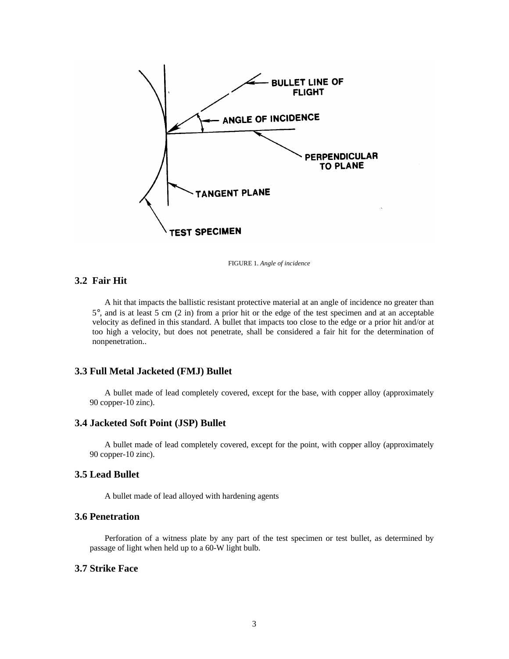

FIGURE 1. *Angle of incidence* 

## **3.2 Fair Hit**

A hit that impacts the ballistic resistant protective material at an angle of incidence no greater than 5�, and is at least 5 cm (2 in) from a prior hit or the edge of the test specimen and at an acceptable velocity as defined in this standard. A bullet that impacts too close to the edge or a prior hit and/or at too high a velocity, but does not penetrate, shall be considered a fair hit for the determination of nonpenetration..

## **3.3 Full Metal Jacketed (FMJ) Bullet**

A bullet made of lead completely covered, except for the base, with copper alloy (approximately 90 copper-10 zinc).

## **3.4 Jacketed Soft Point (JSP) Bullet**

A bullet made of lead completely covered, except for the point, with copper alloy (approximately 90 copper-10 zinc).

## **3.5 Lead Bullet**

A bullet made of lead alloyed with hardening agents

## **3.6 Penetration**

Perforation of a witness plate by any part of the test specimen or test bullet, as determined by passage of light when held up to a 60-W light bulb.

## **3.7 Strike Face**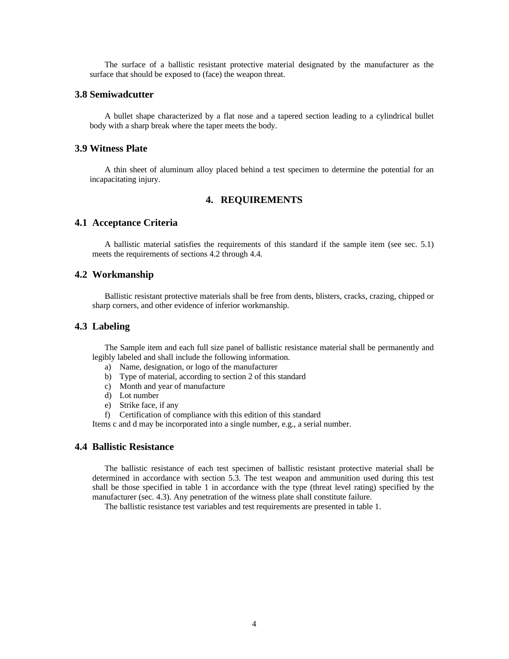The surface of a ballistic resistant protective material designated by the manufacturer as the surface that should be exposed to (face) the weapon threat.

#### **3.8 Semiwadcutter**

A bullet shape characterized by a flat nose and a tapered section leading to a cylindrical bullet body with a sharp break where the taper meets the body.

### **3.9 Witness Plate**

A thin sheet of aluminum alloy placed behind a test specimen to determine the potential for an incapacitating injury.

## **4. REQUIREMENTS**

#### **4.1 Acceptance Criteria**

A ballistic material satisfies the requirements of this standard if the sample item (see sec. 5.1) meets the requirements of sections 4.2 through 4.4.

## **4.2 Workmanship**

Ballistic resistant protective materials shall be free from dents, blisters, cracks, crazing, chipped or sharp corners, and other evidence of inferior workmanship.

### **4.3 Labeling**

The Sample item and each full size panel of ballistic resistance material shall be permanently and legibly labeled and shall include the following information.

- a) Name, designation, or logo of the manufacturer
- b) Type of material, according to section 2 of this standard
- c) Month and year of manufacture
- d) Lot number
- e) Strike face, if any
- f) Certification of compliance with this edition of this standard

Items c and d may be incorporated into a single number, e.g., a serial number.

#### **4.4 Ballistic Resistance**

The ballistic resistance of each test specimen of ballistic resistant protective material shall be determined in accordance with section 5.3. The test weapon and ammunition used during this test shall be those specified in table 1 in accordance with the type (threat level rating) specified by the manufacturer (sec. 4.3). Any penetration of the witness plate shall constitute failure.

The ballistic resistance test variables and test requirements are presented in table 1.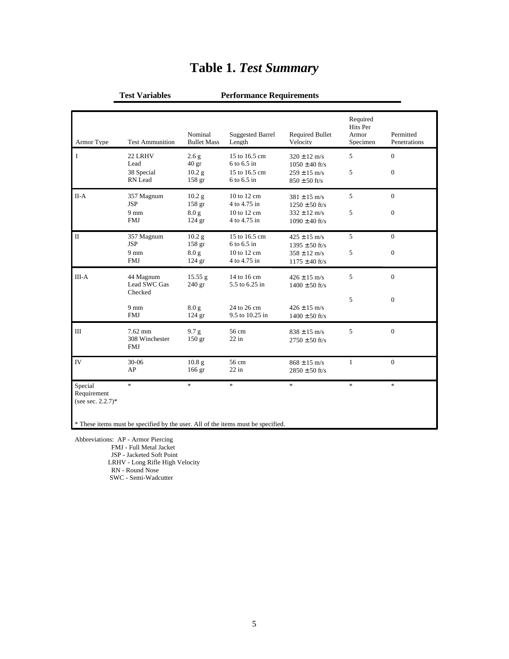| <b>Armor Type</b>                              | <b>Test Ammunition</b>                    | Nominal<br><b>Bullet Mass</b>          | <b>Suggested Barrel</b><br>Length | <b>Required Bullet</b><br>Velocity             | Required<br>Hits Per<br>Armor<br>Specimen | Permitted<br>Penetrations |
|------------------------------------------------|-------------------------------------------|----------------------------------------|-----------------------------------|------------------------------------------------|-------------------------------------------|---------------------------|
| $\rm I$                                        | 22 LRHV<br>Lead                           | 2.6 <sub>g</sub><br>$40 \text{ gr}$    | 15 to 16.5 cm<br>6 to 6.5 in      | $320 \pm 12$ m/s<br>$1050 \pm 40$ ft/s         | 5                                         | $\mathbf{0}$              |
|                                                | 38 Special<br>RN Lead                     | 10.2 <sub>g</sub><br>158 gr            | 15 to 16.5 cm<br>6 to 6.5 in      | $259 \pm 15$ m/s<br>$850 \pm 50$ ft/s          | 5                                         | $\mathbf{0}$              |
| $II-A$                                         | 357 Magnum<br><b>JSP</b>                  | 10.2 <sub>g</sub><br>158 gr            | $10$ to $12$ cm<br>4 to 4.75 in   | $381 \pm 15$ m/s<br>$1250 \pm 50$ ft/s         | 5                                         | $\Omega$                  |
|                                                | $9 \text{ mm}$<br><b>FMJ</b>              | 8.0 <sub>g</sub><br>$124$ gr           | 10 to 12 cm<br>4 to 4.75 in       | $332 \pm 12 \text{ m/s}$<br>$1090 \pm 40$ ft/s | 5                                         | $\mathbf{0}$              |
| $\mathbf{I}$                                   | 357 Magnum<br><b>JSP</b>                  | 10.2 <sub>g</sub><br>158 <sub>gr</sub> | 15 to 16.5 cm<br>6 to 6.5 in      | $425 \pm 15$ m/s<br>$1395 \pm 50$ ft/s         | 5                                         | $\mathbf{0}$              |
|                                                | $9 \text{ mm}$<br><b>FMJ</b>              | 8.0 <sub>g</sub><br>$124$ gr           | 10 to 12 cm<br>4 to 4.75 in       | $358 \pm 12 \text{ m/s}$<br>$1175 \pm 40$ ft/s | 5                                         | $\overline{0}$            |
| $III-A$                                        | 44 Magnum<br>Lead SWC Gas<br>Checked      | 15.55 g<br>$240$ gr                    | 14 to 16 cm<br>5.5 to 6.25 in     | $426 \pm 15$ m/s<br>$1400 \pm 50$ ft/s         | 5                                         | $\overline{0}$            |
|                                                | $9 \text{ mm}$<br><b>FMJ</b>              | 8.0 <sub>g</sub><br>$124$ gr           | 24 to 26 cm<br>9.5 to 10.25 in    | $426 \pm 15$ m/s<br>$1400 \pm 50$ ft/s         | 5                                         | $\theta$                  |
| Ш                                              | $7.62$ mm<br>308 Winchester<br><b>FMJ</b> | 9.7 <sub>g</sub><br>150 <sub>gr</sub>  | 56 cm<br>$22$ in                  | $838 \pm 15$ m/s<br>$2750 \pm 50$ ft/s         | 5                                         | $\overline{0}$            |
| IV                                             | $30 - 06$<br>AP                           | 10.8 <sub>g</sub><br>166 <sub>gr</sub> | 56 cm<br>$22$ in                  | $868 \pm 15$ m/s<br>$2850 \pm 50$ ft/s         | 1                                         | $\mathbf{0}$              |
| Special<br>Requirement<br>(see sec. $2.2.7$ )* | $*$                                       | $\ast$                                 | $\ast$                            | $\ast$                                         | $\ast$                                    | $\ast$                    |

## **Table 1.** *Test Summary*

**Test Variables Performance Requirements** 

Abbreviations: AP - Armor Piercing FMJ - Full Metal Jacket JSP - Jacketed Soft Point LRHV - Long Rifle High Velocity RN - Round Nose SWC - Semi-Wadcutter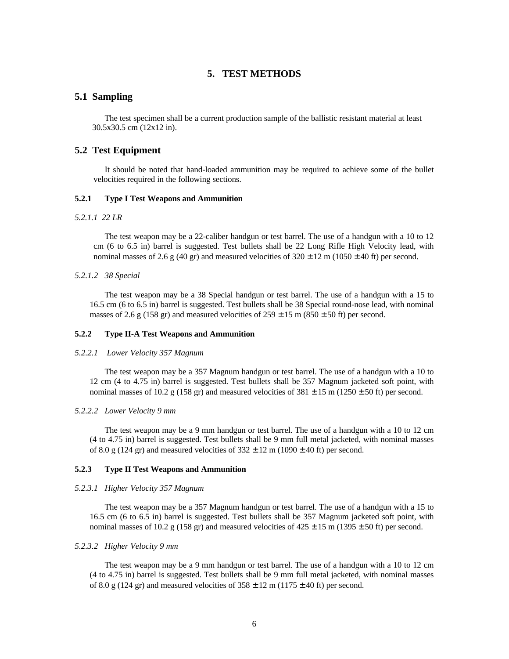## **5. TEST METHODS**

#### **5.1 Sampling**

The test specimen shall be a current production sample of the ballistic resistant material at least 30.5x30.5 cm (12x12 in).

## **5.2 Test Equipment**

It should be noted that hand-loaded ammunition may be required to achieve some of the bullet velocities required in the following sections.

#### **5.2.1 Type I Test Weapons and Ammunition**

#### *5.2.1.1 22 LR*

The test weapon may be a 22-caliber handgun or test barrel. The use of a handgun with a 10 to 12 cm (6 to 6.5 in) barrel is suggested. Test bullets shall be 22 Long Rifle High Velocity lead, with nominal masses of 2.6 g (40 gr) and measured velocities of  $320 \pm 12$  m (1050  $\pm$  40 ft) per second.

#### *5.2.1.2 38 Special*

The test weapon may be a 38 Special handgun or test barrel. The use of a handgun with a 15 to 16.5 cm (6 to 6.5 in) barrel is suggested. Test bullets shall be 38 Special round-nose lead, with nominal masses of 2.6 g (158 gr) and measured velocities of  $259 \pm 15$  m (850  $\pm$  50 ft) per second.

#### **5.2.2 Type II-A Test Weapons and Ammunition**

#### *5.2.2.1 Lower Velocity 357 Magnum*

The test weapon may be a 357 Magnum handgun or test barrel. The use of a handgun with a 10 to 12 cm (4 to 4.75 in) barrel is suggested. Test bullets shall be 357 Magnum jacketed soft point, with nominal masses of 10.2 g (158 gr) and measured velocities of  $381 \pm 15$  m (1250  $\pm$  50 ft) per second.

#### *5.2.2.2 Lower Velocity 9 mm*

The test weapon may be a 9 mm handgun or test barrel. The use of a handgun with a 10 to 12 cm (4 to 4.75 in) barrel is suggested. Test bullets shall be 9 mm full metal jacketed, with nominal masses of 8.0 g (124 gr) and measured velocities of  $332 \pm 12$  m (1090  $\pm$  40 ft) per second.

#### **5.2.3 Type II Test Weapons and Ammunition**

#### *5.2.3.1 Higher Velocity 357 Magnum*

The test weapon may be a 357 Magnum handgun or test barrel. The use of a handgun with a 15 to 16.5 cm (6 to 6.5 in) barrel is suggested. Test bullets shall be 357 Magnum jacketed soft point, with nominal masses of 10.2 g (158 gr) and measured velocities of  $425 \pm 15$  m (1395  $\pm$  50 ft) per second.

#### *5.2.3.2 Higher Velocity 9 mm*

The test weapon may be a 9 mm handgun or test barrel. The use of a handgun with a 10 to 12 cm (4 to 4.75 in) barrel is suggested. Test bullets shall be 9 mm full metal jacketed, with nominal masses of 8.0 g (124 gr) and measured velocities of  $358 \pm 12$  m (1175  $\pm$  40 ft) per second.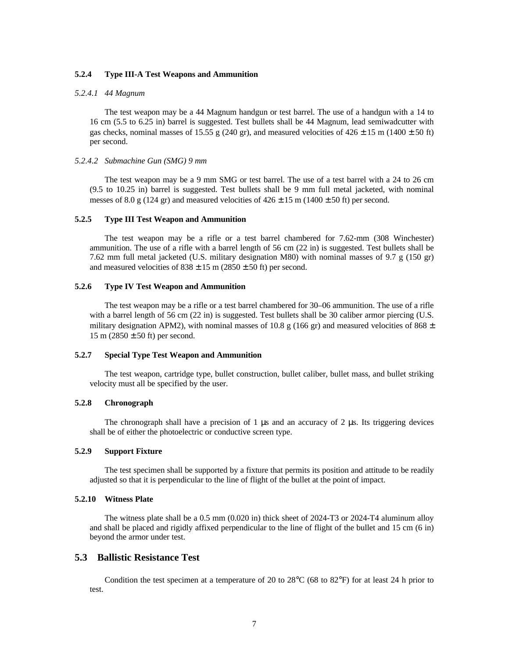#### **5.2.4 Type III-A Test Weapons and Ammunition**

#### *5.2.4.1 44 Magnum*

The test weapon may be a 44 Magnum handgun or test barrel. The use of a handgun with a 14 to 16 cm (5.5 to 6.25 in) barrel is suggested. Test bullets shall be 44 Magnum, lead semiwadcutter with gas checks, nominal masses of 15.55 g (240 gr), and measured velocities of  $426 \pm 15$  m (1400  $\pm$  50 ft) per second.

#### *5.2.4.2 Submachine Gun (SMG) 9 mm*

The test weapon may be a 9 mm SMG or test barrel. The use of a test barrel with a 24 to 26 cm (9.5 to 10.25 in) barrel is suggested. Test bullets shall be 9 mm full metal jacketed, with nominal messes of 8.0 g (124 gr) and measured velocities of  $426 \pm 15$  m (1400  $\pm$  50 ft) per second.

#### **5.2.5 Type III Test Weapon and Ammunition**

The test weapon may be a rifle or a test barrel chambered for 7.62-mm (308 Winchester) ammunition. The use of a rifle with a barrel length of 56 cm (22 in) is suggested. Test bullets shall be 7.62 mm full metal jacketed (U.S. military designation M80) with nominal masses of 9.7 g (150 gr) and measured velocities of  $838 \pm 15$  m ( $2850 \pm 50$  ft) per second.

#### **5.2.6 Type IV Test Weapon and Ammunition**

The test weapon may be a rifle or a test barrel chambered for 30–06 ammunition. The use of a rifle with a barrel length of 56 cm (22 in) is suggested. Test bullets shall be 30 caliber armor piercing (U.S. military designation APM2), with nominal masses of 10.8 g (166 gr) and measured velocities of 868  $\pm$  $15 \text{ m} (2850 \pm 50 \text{ ft})$  per second.

#### **5.2.7 Special Type Test Weapon and Ammunition**

The test weapon, cartridge type, bullet construction, bullet caliber, bullet mass, and bullet striking velocity must all be specified by the user.

## **5.2.8 Chronograph**

The chronograph shall have a precision of 1  $\mu$ s and an accuracy of 2  $\mu$ s. Its triggering devices shall be of either the photoelectric or conductive screen type.

#### **5.2.9 Support Fixture**

The test specimen shall be supported by a fixture that permits its position and attitude to be readily adjusted so that it is perpendicular to the line of flight of the bullet at the point of impact.

#### **5.2.10 Witness Plate**

The witness plate shall be a 0.5 mm (0.020 in) thick sheet of 2024-T3 or 2024-T4 aluminum alloy and shall be placed and rigidly affixed perpendicular to the line of flight of the bullet and 15 cm (6 in) beyond the armor under test.

## **5.3 Ballistic Resistance Test**

Condition the test specimen at a temperature of 20 to  $28^{\circ}$ C (68 to  $82^{\circ}$ F) for at least 24 h prior to test.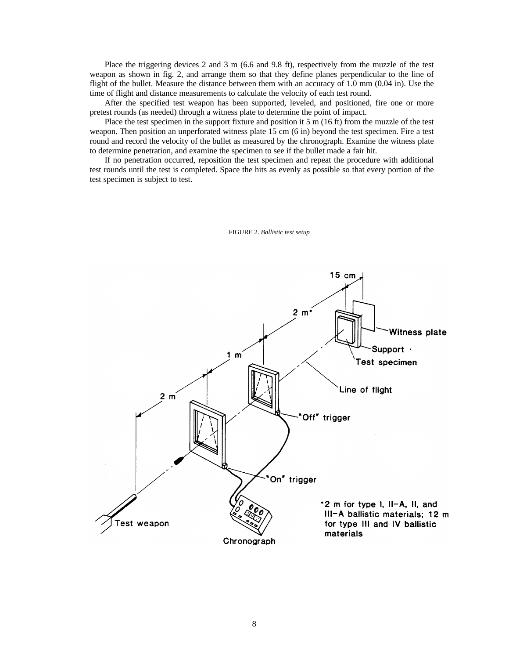Place the triggering devices 2 and 3 m (6.6 and 9.8 ft), respectively from the muzzle of the test weapon as shown in fig. 2, and arrange them so that they define planes perpendicular to the line of flight of the bullet. Measure the distance between them with an accuracy of 1.0 mm (0.04 in). Use the time of flight and distance measurements to calculate the velocity of each test round.

After the specified test weapon has been supported, leveled, and positioned, fire one or more pretest rounds (as needed) through a witness plate to determine the point of impact.

Place the test specimen in the support fixture and position it 5 m (16 ft) from the muzzle of the test weapon. Then position an unperforated witness plate 15 cm (6 in) beyond the test specimen. Fire a test round and record the velocity of the bullet as measured by the chronograph. Examine the witness plate to determine penetration, and examine the specimen to see if the bullet made a fair hit.

If no penetration occurred, reposition the test specimen and repeat the procedure with additional test rounds until the test is completed. Space the hits as evenly as possible so that every portion of the test specimen is subject to test.



FIGURE 2. *Ballistic test setup*